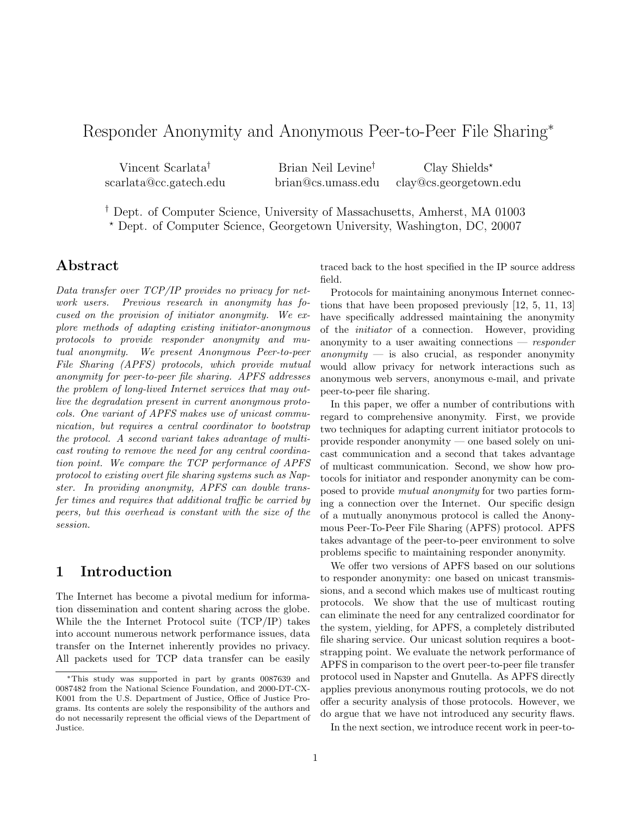# Responder Anonymity and Anonymous Peer-to-Peer File Sharing<sup>∗</sup>

| Vincent Scarlata <sup>†</sup> | Brian Neil Levine <sup>†</sup> | Clay Shields*          |
|-------------------------------|--------------------------------|------------------------|
| scarlata@cc.gatech.edu        | brian@cs.umass.edu             | clay@cs.georgetown.edu |

† Dept. of Computer Science, University of Massachusetts, Amherst, MA 01003 ? Dept. of Computer Science, Georgetown University, Washington, DC, 20007

## Abstract

Data transfer over TCP/IP provides no privacy for network users. Previous research in anonymity has focused on the provision of initiator anonymity. We explore methods of adapting existing initiator-anonymous protocols to provide responder anonymity and mutual anonymity. We present Anonymous Peer-to-peer File Sharing (APFS) protocols, which provide mutual anonymity for peer-to-peer file sharing. APFS addresses the problem of long-lived Internet services that may outlive the degradation present in current anonymous protocols. One variant of APFS makes use of unicast communication, but requires a central coordinator to bootstrap the protocol. A second variant takes advantage of multicast routing to remove the need for any central coordination point. We compare the TCP performance of APFS protocol to existing overt file sharing systems such as Napster. In providing anonymity, APFS can double transfer times and requires that additional traffic be carried by peers, but this overhead is constant with the size of the session.

# 1 Introduction

The Internet has become a pivotal medium for information dissemination and content sharing across the globe. While the the Internet Protocol suite (TCP/IP) takes into account numerous network performance issues, data transfer on the Internet inherently provides no privacy. All packets used for TCP data transfer can be easily

traced back to the host specified in the IP source address field.

Protocols for maintaining anonymous Internet connections that have been proposed previously [12, 5, 11, 13] have specifically addressed maintaining the anonymity of the initiator of a connection. However, providing anonymity to a user awaiting connections  $-$  responder anonymity  $-$  is also crucial, as responder anonymity would allow privacy for network interactions such as anonymous web servers, anonymous e-mail, and private peer-to-peer file sharing.

In this paper, we offer a number of contributions with regard to comprehensive anonymity. First, we provide two techniques for adapting current initiator protocols to provide responder anonymity — one based solely on unicast communication and a second that takes advantage of multicast communication. Second, we show how protocols for initiator and responder anonymity can be composed to provide mutual anonymity for two parties forming a connection over the Internet. Our specific design of a mutually anonymous protocol is called the Anonymous Peer-To-Peer File Sharing (APFS) protocol. APFS takes advantage of the peer-to-peer environment to solve problems specific to maintaining responder anonymity.

We offer two versions of APFS based on our solutions to responder anonymity: one based on unicast transmissions, and a second which makes use of multicast routing protocols. We show that the use of multicast routing can eliminate the need for any centralized coordinator for the system, yielding, for APFS, a completely distributed file sharing service. Our unicast solution requires a bootstrapping point. We evaluate the network performance of APFS in comparison to the overt peer-to-peer file transfer protocol used in Napster and Gnutella. As APFS directly applies previous anonymous routing protocols, we do not offer a security analysis of those protocols. However, we do argue that we have not introduced any security flaws.

In the next section, we introduce recent work in peer-to-

<sup>∗</sup>This study was supported in part by grants 0087639 and 0087482 from the National Science Foundation, and 2000-DT-CX-K001 from the U.S. Department of Justice, Office of Justice Programs. Its contents are solely the responsibility of the authors and do not necessarily represent the official views of the Department of Justice.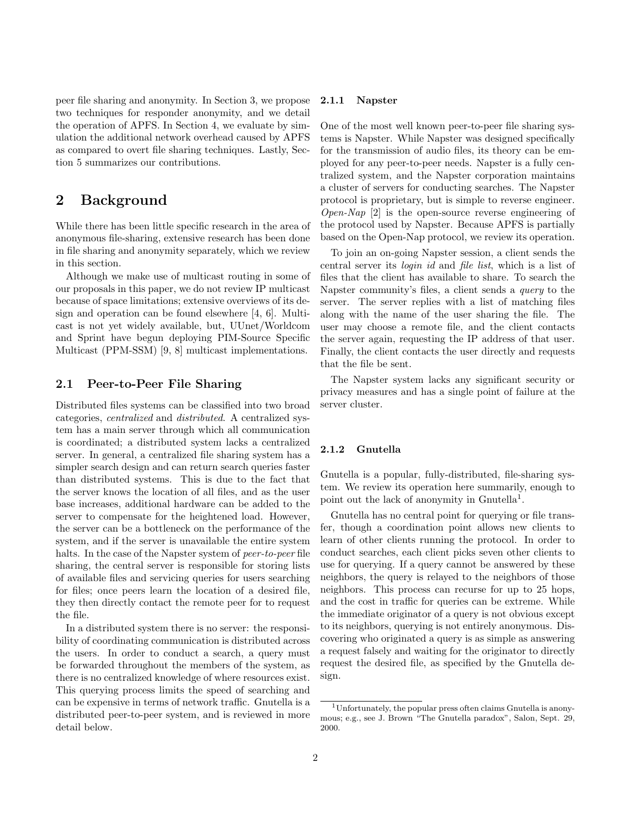peer file sharing and anonymity. In Section 3, we propose two techniques for responder anonymity, and we detail the operation of APFS. In Section 4, we evaluate by simulation the additional network overhead caused by APFS as compared to overt file sharing techniques. Lastly, Section 5 summarizes our contributions.

# 2 Background

While there has been little specific research in the area of anonymous file-sharing, extensive research has been done in file sharing and anonymity separately, which we review in this section.

Although we make use of multicast routing in some of our proposals in this paper, we do not review IP multicast because of space limitations; extensive overviews of its design and operation can be found elsewhere [4, 6]. Multicast is not yet widely available, but, UUnet/Worldcom and Sprint have begun deploying PIM-Source Specific Multicast (PPM-SSM) [9, 8] multicast implementations.

### 2.1 Peer-to-Peer File Sharing

Distributed files systems can be classified into two broad categories, centralized and distributed. A centralized system has a main server through which all communication is coordinated; a distributed system lacks a centralized server. In general, a centralized file sharing system has a simpler search design and can return search queries faster than distributed systems. This is due to the fact that the server knows the location of all files, and as the user base increases, additional hardware can be added to the server to compensate for the heightened load. However, the server can be a bottleneck on the performance of the system, and if the server is unavailable the entire system halts. In the case of the Napster system of *peer-to-peer* file sharing, the central server is responsible for storing lists of available files and servicing queries for users searching for files; once peers learn the location of a desired file, they then directly contact the remote peer for to request the file.

In a distributed system there is no server: the responsibility of coordinating communication is distributed across the users. In order to conduct a search, a query must be forwarded throughout the members of the system, as there is no centralized knowledge of where resources exist. This querying process limits the speed of searching and can be expensive in terms of network traffic. Gnutella is a distributed peer-to-peer system, and is reviewed in more detail below.

#### 2.1.1 Napster

One of the most well known peer-to-peer file sharing systems is Napster. While Napster was designed specifically for the transmission of audio files, its theory can be employed for any peer-to-peer needs. Napster is a fully centralized system, and the Napster corporation maintains a cluster of servers for conducting searches. The Napster protocol is proprietary, but is simple to reverse engineer. *Open-Nap* [2] is the open-source reverse engineering of the protocol used by Napster. Because APFS is partially based on the Open-Nap protocol, we review its operation.

To join an on-going Napster session, a client sends the central server its login id and file list, which is a list of files that the client has available to share. To search the Napster community's files, a client sends a query to the server. The server replies with a list of matching files along with the name of the user sharing the file. The user may choose a remote file, and the client contacts the server again, requesting the IP address of that user. Finally, the client contacts the user directly and requests that the file be sent.

The Napster system lacks any significant security or privacy measures and has a single point of failure at the server cluster.

#### 2.1.2 Gnutella

Gnutella is a popular, fully-distributed, file-sharing system. We review its operation here summarily, enough to point out the lack of anonymity in Gnutella<sup>1</sup>.

Gnutella has no central point for querying or file transfer, though a coordination point allows new clients to learn of other clients running the protocol. In order to conduct searches, each client picks seven other clients to use for querying. If a query cannot be answered by these neighbors, the query is relayed to the neighbors of those neighbors. This process can recurse for up to 25 hops, and the cost in traffic for queries can be extreme. While the immediate originator of a query is not obvious except to its neighbors, querying is not entirely anonymous. Discovering who originated a query is as simple as answering a request falsely and waiting for the originator to directly request the desired file, as specified by the Gnutella design.

<sup>1</sup>Unfortunately, the popular press often claims Gnutella is anonymous; e.g., see J. Brown "The Gnutella paradox", Salon, Sept. 29, 2000.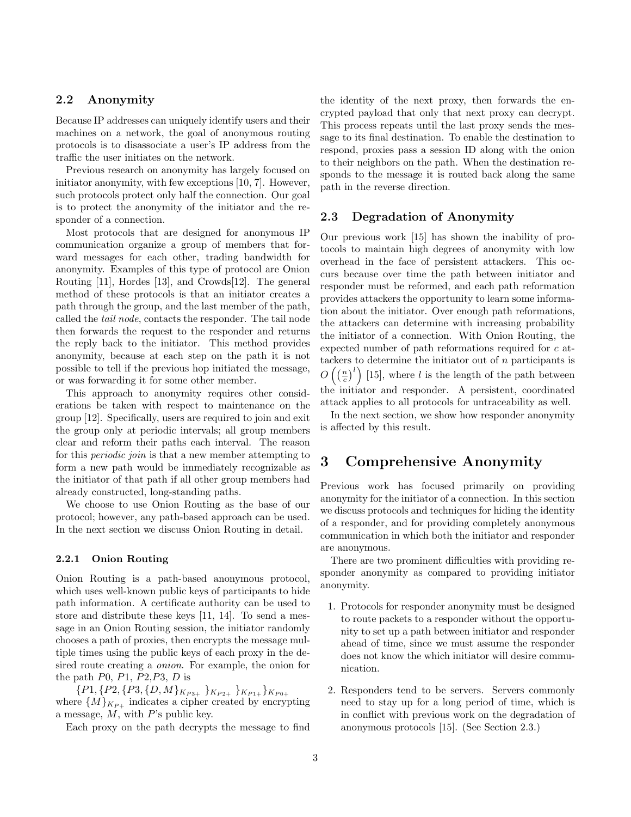## 2.2 Anonymity

Because IP addresses can uniquely identify users and their machines on a network, the goal of anonymous routing protocols is to disassociate a user's IP address from the traffic the user initiates on the network.

Previous research on anonymity has largely focused on initiator anonymity, with few exceptions [10, 7]. However, such protocols protect only half the connection. Our goal is to protect the anonymity of the initiator and the responder of a connection.

Most protocols that are designed for anonymous IP communication organize a group of members that forward messages for each other, trading bandwidth for anonymity. Examples of this type of protocol are Onion Routing [11], Hordes [13], and Crowds[12]. The general method of these protocols is that an initiator creates a path through the group, and the last member of the path, called the tail node, contacts the responder. The tail node then forwards the request to the responder and returns the reply back to the initiator. This method provides anonymity, because at each step on the path it is not possible to tell if the previous hop initiated the message, or was forwarding it for some other member.

This approach to anonymity requires other considerations be taken with respect to maintenance on the group [12]. Specifically, users are required to join and exit the group only at periodic intervals; all group members clear and reform their paths each interval. The reason for this periodic join is that a new member attempting to form a new path would be immediately recognizable as the initiator of that path if all other group members had already constructed, long-standing paths.

We choose to use Onion Routing as the base of our protocol; however, any path-based approach can be used. In the next section we discuss Onion Routing in detail.

### 2.2.1 Onion Routing

Onion Routing is a path-based anonymous protocol, which uses well-known public keys of participants to hide path information. A certificate authority can be used to store and distribute these keys [11, 14]. To send a message in an Onion Routing session, the initiator randomly chooses a path of proxies, then encrypts the message multiple times using the public keys of each proxy in the desired route creating a onion. For example, the onion for the path  $P0$ ,  $P1$ ,  $P2$ ,  $P3$ ,  $D$  is

 ${P1, {P2, {P3, {D, M}}}_{K_{P3+}}$   $}_{K_{P2+}}$   $}_{K_{P1+}}$   $}_{K_{P0+}}$ where  $\{M\}_{K_{P+}}$  indicates a cipher created by encrypting a message,  $M$ , with  $P$ 's public key.

Each proxy on the path decrypts the message to find

the identity of the next proxy, then forwards the encrypted payload that only that next proxy can decrypt. This process repeats until the last proxy sends the message to its final destination. To enable the destination to respond, proxies pass a session ID along with the onion to their neighbors on the path. When the destination responds to the message it is routed back along the same path in the reverse direction.

## 2.3 Degradation of Anonymity

Our previous work [15] has shown the inability of protocols to maintain high degrees of anonymity with low overhead in the face of persistent attackers. This occurs because over time the path between initiator and responder must be reformed, and each path reformation provides attackers the opportunity to learn some information about the initiator. Over enough path reformations, the attackers can determine with increasing probability the initiator of a connection. With Onion Routing, the expected number of path reformations required for c attackers to determine the initiator out of  $n$  participants is  $O\left(\left(\frac{n}{c}\right)^l\right)$  [15], where l is the length of the path between the initiator and responder. A persistent, coordinated attack applies to all protocols for untraceability as well.

In the next section, we show how responder anonymity is affected by this result.

# 3 Comprehensive Anonymity

Previous work has focused primarily on providing anonymity for the initiator of a connection. In this section we discuss protocols and techniques for hiding the identity of a responder, and for providing completely anonymous communication in which both the initiator and responder are anonymous.

There are two prominent difficulties with providing responder anonymity as compared to providing initiator anonymity.

- 1. Protocols for responder anonymity must be designed to route packets to a responder without the opportunity to set up a path between initiator and responder ahead of time, since we must assume the responder does not know the which initiator will desire communication.
- 2. Responders tend to be servers. Servers commonly need to stay up for a long period of time, which is in conflict with previous work on the degradation of anonymous protocols [15]. (See Section 2.3.)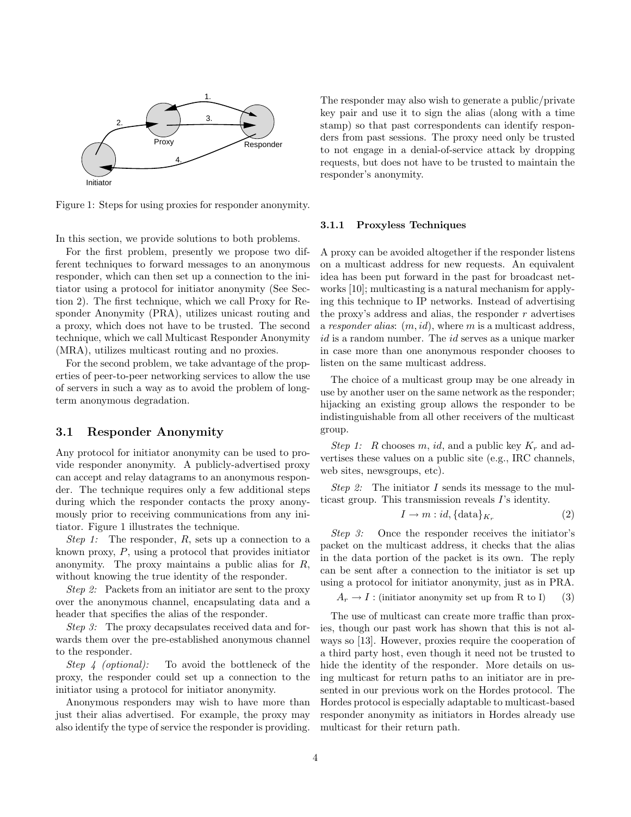

Figure 1: Steps for using proxies for responder anonymity.

In this section, we provide solutions to both problems.

For the first problem, presently we propose two different techniques to forward messages to an anonymous responder, which can then set up a connection to the initiator using a protocol for initiator anonymity (See Section 2). The first technique, which we call Proxy for Responder Anonymity (PRA), utilizes unicast routing and a proxy, which does not have to be trusted. The second technique, which we call Multicast Responder Anonymity (MRA), utilizes multicast routing and no proxies.

For the second problem, we take advantage of the properties of peer-to-peer networking services to allow the use of servers in such a way as to avoid the problem of longterm anonymous degradation.

### 3.1 Responder Anonymity

Any protocol for initiator anonymity can be used to provide responder anonymity. A publicly-advertised proxy can accept and relay datagrams to an anonymous responder. The technique requires only a few additional steps during which the responder contacts the proxy anonymously prior to receiving communications from any initiator. Figure 1 illustrates the technique.

Step 1: The responder,  $R$ , sets up a connection to a known proxy, P, using a protocol that provides initiator anonymity. The proxy maintains a public alias for R, without knowing the true identity of the responder.

Step 2: Packets from an initiator are sent to the proxy over the anonymous channel, encapsulating data and a header that specifies the alias of the responder.

Step 3: The proxy decapsulates received data and forwards them over the pre-established anonymous channel to the responder.

Step 4 (optional): To avoid the bottleneck of the proxy, the responder could set up a connection to the initiator using a protocol for initiator anonymity.

Anonymous responders may wish to have more than just their alias advertised. For example, the proxy may also identify the type of service the responder is providing.

The responder may also wish to generate a public/private key pair and use it to sign the alias (along with a time stamp) so that past correspondents can identify responders from past sessions. The proxy need only be trusted to not engage in a denial-of-service attack by dropping requests, but does not have to be trusted to maintain the responder's anonymity.

#### 3.1.1 Proxyless Techniques

A proxy can be avoided altogether if the responder listens on a multicast address for new requests. An equivalent idea has been put forward in the past for broadcast networks [10]; multicasting is a natural mechanism for applying this technique to IP networks. Instead of advertising the proxy's address and alias, the responder  $r$  advertises a responder alias:  $(m, id)$ , where m is a multicast address, id is a random number. The *id* serves as a unique marker in case more than one anonymous responder chooses to listen on the same multicast address.

The choice of a multicast group may be one already in use by another user on the same network as the responder; hijacking an existing group allows the responder to be indistinguishable from all other receivers of the multicast group.

Step 1: R chooses m, id, and a public key  $K_r$  and advertises these values on a public site (e.g., IRC channels, web sites, newsgroups, etc).

*Step 2:* The initiator I sends its message to the multicast group. This transmission reveals I's identity.

$$
I \to m : id, {\text{data}}_{K_r} \tag{2}
$$

Step 3: Once the responder receives the initiator's packet on the multicast address, it checks that the alias in the data portion of the packet is its own. The reply can be sent after a connection to the initiator is set up using a protocol for initiator anonymity, just as in PRA.

 $A_r \to I$ : (initiator anonymity set up from R to I) (3)

The use of multicast can create more traffic than proxies, though our past work has shown that this is not always so [13]. However, proxies require the cooperation of a third party host, even though it need not be trusted to hide the identity of the responder. More details on using multicast for return paths to an initiator are in presented in our previous work on the Hordes protocol. The Hordes protocol is especially adaptable to multicast-based responder anonymity as initiators in Hordes already use multicast for their return path.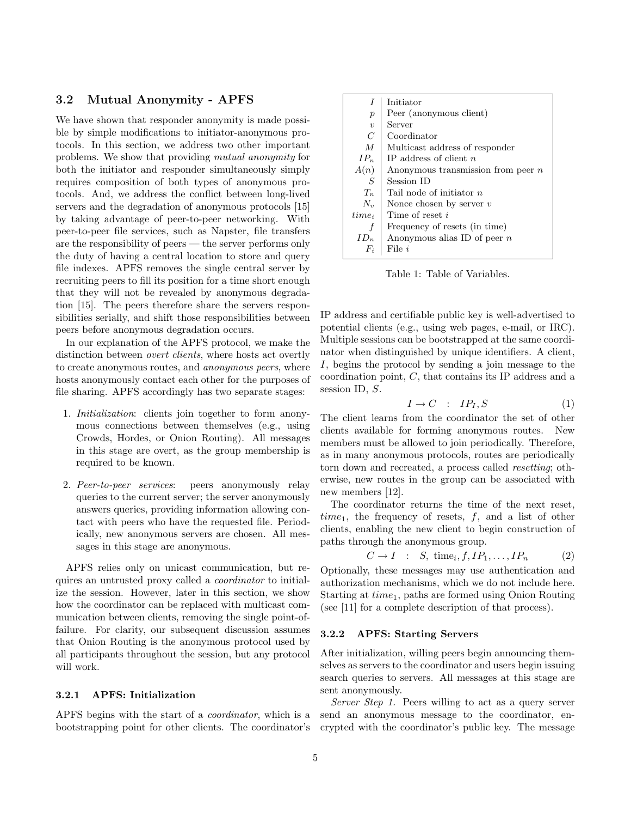## 3.2 Mutual Anonymity - APFS

We have shown that responder anonymity is made possible by simple modifications to initiator-anonymous protocols. In this section, we address two other important problems. We show that providing mutual anonymity for both the initiator and responder simultaneously simply requires composition of both types of anonymous protocols. And, we address the conflict between long-lived servers and the degradation of anonymous protocols [15] by taking advantage of peer-to-peer networking. With peer-to-peer file services, such as Napster, file transfers are the responsibility of peers — the server performs only the duty of having a central location to store and query file indexes. APFS removes the single central server by recruiting peers to fill its position for a time short enough that they will not be revealed by anonymous degradation [15]. The peers therefore share the servers responsibilities serially, and shift those responsibilities between peers before anonymous degradation occurs.

In our explanation of the APFS protocol, we make the distinction between overt clients, where hosts act overtly to create anonymous routes, and anonymous peers, where hosts anonymously contact each other for the purposes of file sharing. APFS accordingly has two separate stages:

- 1. Initialization: clients join together to form anonymous connections between themselves (e.g., using Crowds, Hordes, or Onion Routing). All messages in this stage are overt, as the group membership is required to be known.
- 2. Peer-to-peer services: peers anonymously relay queries to the current server; the server anonymously answers queries, providing information allowing contact with peers who have the requested file. Periodically, new anonymous servers are chosen. All messages in this stage are anonymous.

APFS relies only on unicast communication, but requires an untrusted proxy called a coordinator to initialize the session. However, later in this section, we show how the coordinator can be replaced with multicast communication between clients, removing the single point-offailure. For clarity, our subsequent discussion assumes that Onion Routing is the anonymous protocol used by all participants throughout the session, but any protocol will work.

#### 3.2.1 APFS: Initialization

APFS begins with the start of a *coordinator*, which is a send an anonymous message to the coordinator, enbootstrapping point for other clients. The coordinator's

|                     | Initiator                            |
|---------------------|--------------------------------------|
| $\boldsymbol{p}$    | Peer (anonymous client)              |
| $\boldsymbol{\eta}$ | Server                               |
| $\mathcal C$        | Coordinator                          |
| $\overline{M}$      | Multicast address of responder       |
| $IP_n$              | IP address of client $n$             |
| A(n)                | Anonymous transmission from peer $n$ |
| ${\cal S}$          | Session ID                           |
| $T_n$               | Tail node of initiator $n$           |
| $N_{\nu}$           | Nonce chosen by server $v$           |
| $time_i$            | Time of reset i                      |
| f                   | Frequency of resets (in time)        |
| $ID_n$              | Anonymous alias ID of peer $n$       |
| $F_i$               | File <i>i</i>                        |

Table 1: Table of Variables.

IP address and certifiable public key is well-advertised to potential clients (e.g., using web pages, e-mail, or IRC). Multiple sessions can be bootstrapped at the same coordinator when distinguished by unique identifiers. A client, I, begins the protocol by sending a join message to the coordination point, C, that contains its IP address and a session ID, S.

$$
I \to C \quad : \quad IP_I, S \tag{1}
$$

The client learns from the coordinator the set of other clients available for forming anonymous routes. New members must be allowed to join periodically. Therefore, as in many anonymous protocols, routes are periodically torn down and recreated, a process called resetting; otherwise, new routes in the group can be associated with new members [12].

The coordinator returns the time of the next reset,  $time_1$ , the frequency of resets,  $f$ , and a list of other clients, enabling the new client to begin construction of paths through the anonymous group.

$$
C \to I : S, \text{ time}_i, f, IP_1, \dots, IP_n \tag{2}
$$

Optionally, these messages may use authentication and authorization mechanisms, which we do not include here. Starting at  $time_1$ , paths are formed using Onion Routing (see [11] for a complete description of that process).

#### 3.2.2 APFS: Starting Servers

After initialization, willing peers begin announcing themselves as servers to the coordinator and users begin issuing search queries to servers. All messages at this stage are sent anonymously.

Server Step 1. Peers willing to act as a query server crypted with the coordinator's public key. The message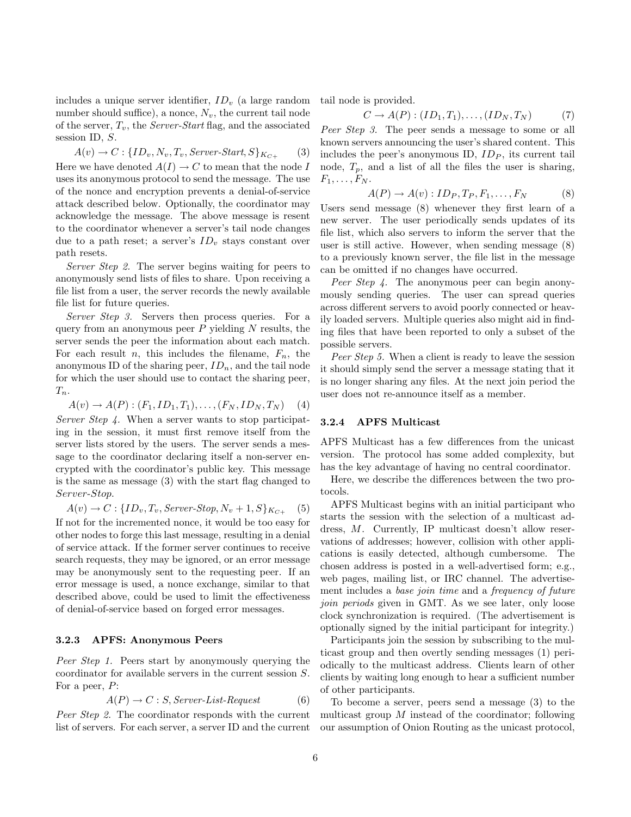includes a unique server identifier,  $ID<sub>v</sub>$  (a large random number should suffice), a nonce,  $N_v$ , the current tail node of the server,  $T_v$ , the *Server-Start* flag, and the associated session ID, S.

$$
A(v) \rightarrow C: \{ID_v, N_v, T_v, Server-Start, S\}_{K_{C+}} \qquad (3)
$$
  
Here we have denoted  $A(I) \rightarrow C$  to mean that the node  $I$  uses its anonymous protocol to send the message. The use of the nonce and encryption prevents a denial-of-service attack described below. Optimally, the coordinator may acknowledge the message. The above message is resent to the coordinator whenever a server's tail node changes due to a path reset; a server's  $ID_v$  stays constant over path resets.

Server Step 2. The server begins waiting for peers to anonymously send lists of files to share. Upon receiving a file list from a user, the server records the newly available file list for future queries.

Server Step 3. Servers then process queries. For a query from an anonymous peer  $P$  yielding  $N$  results, the server sends the peer the information about each match. For each result n, this includes the filename,  $F_n$ , the anonymous ID of the sharing peer,  $ID_n$ , and the tail node for which the user should use to contact the sharing peer,  $T_n$ .

$$
A(v) \to A(P) : (F_1, ID_1, T_1), \dots, (F_N, ID_N, T_N) \tag{4}
$$

Server Step 4. When a server wants to stop participating in the session, it must first remove itself from the server lists stored by the users. The server sends a message to the coordinator declaring itself a non-server encrypted with the coordinator's public key. This message is the same as message (3) with the start flag changed to Server-Stop.

 $A(v) \to C: \{ID_v, T_v, Server-Stop, N_v + 1, S\}_{K_{C+}}$  (5) If not for the incremented nonce, it would be too easy for other nodes to forge this last message, resulting in a denial of service attack. If the former server continues to receive search requests, they may be ignored, or an error message may be anonymously sent to the requesting peer. If an error message is used, a nonce exchange, similar to that described above, could be used to limit the effectiveness of denial-of-service based on forged error messages.

#### 3.2.3 APFS: Anonymous Peers

Peer Step 1. Peers start by anonymously querying the coordinator for available servers in the current session S. For a peer, P:

$$
A(P) \to C : S, Server-List-Request
$$
 (6)

Peer Step 2. The coordinator responds with the current list of servers. For each server, a server ID and the current tail node is provided.

 $C \to A(P): (ID_1, T_1), \ldots, (ID_N, T_N)$  (7)

Peer Step 3. The peer sends a message to some or all known servers announcing the user's shared content. This includes the peer's anonymous ID,  $ID<sub>P</sub>$ , its current tail node,  $T_p$ , and a list of all the files the user is sharing,  $F_1, \ldots, F_N$ .

$$
A(P) \to A(v) : ID_P, T_P, F_1, \dots, F_N
$$
 (8)

Users send message (8) whenever they first learn of a new server. The user periodically sends updates of its file list, which also servers to inform the server that the user is still active. However, when sending message (8) to a previously known server, the file list in the message can be omitted if no changes have occurred.

Peer Step 4. The anonymous peer can begin anonymously sending queries. The user can spread queries across different servers to avoid poorly connected or heavily loaded servers. Multiple queries also might aid in finding files that have been reported to only a subset of the possible servers.

Peer Step 5. When a client is ready to leave the session it should simply send the server a message stating that it is no longer sharing any files. At the next join period the user does not re-announce itself as a member.

#### 3.2.4 APFS Multicast

APFS Multicast has a few differences from the unicast version. The protocol has some added complexity, but has the key advantage of having no central coordinator.

Here, we describe the differences between the two protocols.

APFS Multicast begins with an initial participant who starts the session with the selection of a multicast address, M. Currently, IP multicast doesn't allow reservations of addresses; however, collision with other applications is easily detected, although cumbersome. The chosen address is posted in a well-advertised form; e.g., web pages, mailing list, or IRC channel. The advertisement includes a base join time and a frequency of future join periods given in GMT. As we see later, only loose clock synchronization is required. (The advertisement is optionally signed by the initial participant for integrity.)

Participants join the session by subscribing to the multicast group and then overtly sending messages (1) periodically to the multicast address. Clients learn of other clients by waiting long enough to hear a sufficient number of other participants.

To become a server, peers send a message (3) to the multicast group M instead of the coordinator; following our assumption of Onion Routing as the unicast protocol,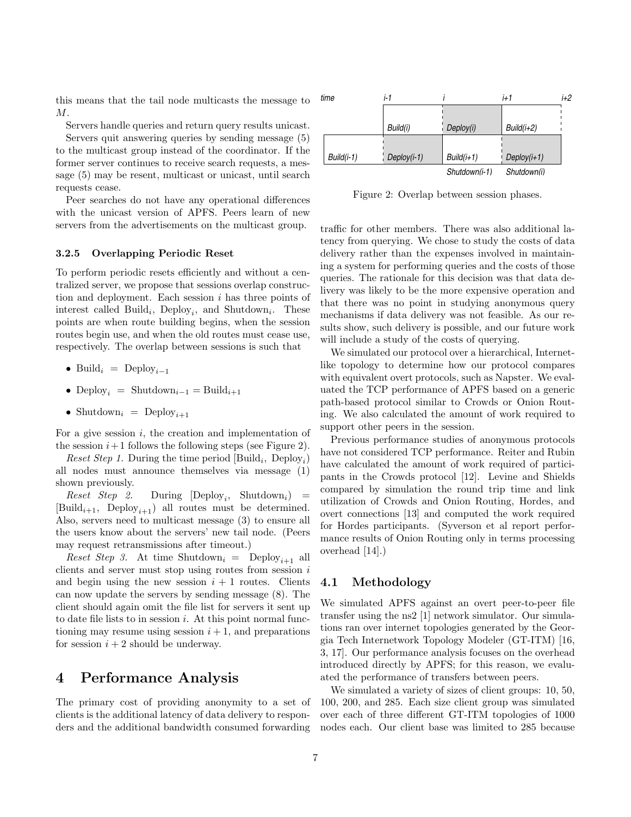this means that the tail node multicasts the message to M.

Servers handle queries and return query results unicast.

Servers quit answering queries by sending message (5) to the multicast group instead of the coordinator. If the former server continues to receive search requests, a message (5) may be resent, multicast or unicast, until search requests cease.

Peer searches do not have any operational differences with the unicast version of APFS. Peers learn of new servers from the advertisements on the multicast group.

#### 3.2.5 Overlapping Periodic Reset

To perform periodic resets efficiently and without a centralized server, we propose that sessions overlap construction and deployment. Each session  $i$  has three points of interest called Build<sub>i</sub>, Deploy<sub>i</sub>, and Shutdown<sub>i</sub>. These points are when route building begins, when the session routes begin use, and when the old routes must cease use, respectively. The overlap between sessions is such that

- Build<sub>i</sub> = Deploy<sub>i-1</sub>
- Deploy<sub>i</sub> = Shutdown<sub>i-1</sub> = Build<sub>i+1</sub>
- Shutdown<sub>i</sub> = Deploy<sub>i+1</sub>

For a give session  $i$ , the creation and implementation of the session  $i+1$  follows the following steps (see Figure 2).

*Reset Step 1.* During the time period  $[\text{Build}_i, \text{ Deploy}_i]$ all nodes must announce themselves via message (1) shown previously.

 $\text{Reset Step 2.}$  During  $[\text{Deploy}_i, \text{Shutdown}_i] =$  $[\text{Build}_{i+1}, \text{ Deploy}_{i+1}]$  all routes must be determined. Also, servers need to multicast message (3) to ensure all the users know about the servers' new tail node. (Peers may request retransmissions after timeout.)

*Reset Step 3.* At time Shutdown<sub>i</sub> = Deploy<sub>*i*+1</sub> all clients and server must stop using routes from session  $i$ and begin using the new session  $i + 1$  routes. Clients can now update the servers by sending message (8). The client should again omit the file list for servers it sent up to date file lists to in session  $i$ . At this point normal functioning may resume using session  $i + 1$ , and preparations for session  $i + 2$  should be underway.

## 4 Performance Analysis

The primary cost of providing anonymity to a set of clients is the additional latency of data delivery to responders and the additional bandwidth consumed forwarding



Figure 2: Overlap between session phases.

traffic for other members. There was also additional latency from querying. We chose to study the costs of data delivery rather than the expenses involved in maintaining a system for performing queries and the costs of those queries. The rationale for this decision was that data delivery was likely to be the more expensive operation and that there was no point in studying anonymous query mechanisms if data delivery was not feasible. As our results show, such delivery is possible, and our future work will include a study of the costs of querying.

We simulated our protocol over a hierarchical, Internetlike topology to determine how our protocol compares with equivalent overt protocols, such as Napster. We evaluated the TCP performance of APFS based on a generic path-based protocol similar to Crowds or Onion Routing. We also calculated the amount of work required to support other peers in the session.

Previous performance studies of anonymous protocols have not considered TCP performance. Reiter and Rubin have calculated the amount of work required of participants in the Crowds protocol [12]. Levine and Shields compared by simulation the round trip time and link utilization of Crowds and Onion Routing, Hordes, and overt connections [13] and computed the work required for Hordes participants. (Syverson et al report performance results of Onion Routing only in terms processing overhead [14].)

#### 4.1 Methodology

We simulated APFS against an overt peer-to-peer file transfer using the ns2 [1] network simulator. Our simulations ran over internet topologies generated by the Georgia Tech Internetwork Topology Modeler (GT-ITM) [16, 3, 17]. Our performance analysis focuses on the overhead introduced directly by APFS; for this reason, we evaluated the performance of transfers between peers.

We simulated a variety of sizes of client groups: 10, 50, 100, 200, and 285. Each size client group was simulated over each of three different GT-ITM topologies of 1000 nodes each. Our client base was limited to 285 because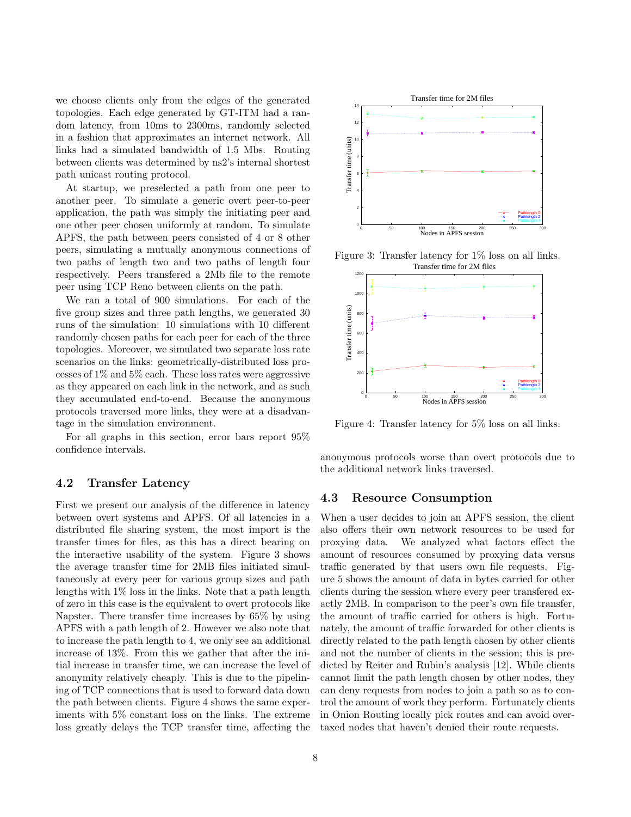we choose clients only from the edges of the generated topologies. Each edge generated by GT-ITM had a random latency, from 10ms to 2300ms, randomly selected in a fashion that approximates an internet network. All links had a simulated bandwidth of 1.5 Mbs. Routing between clients was determined by ns2's internal shortest path unicast routing protocol.

At startup, we preselected a path from one peer to another peer. To simulate a generic overt peer-to-peer application, the path was simply the initiating peer and one other peer chosen uniformly at random. To simulate APFS, the path between peers consisted of 4 or 8 other peers, simulating a mutually anonymous connections of two paths of length two and two paths of length four respectively. Peers transfered a 2Mb file to the remote peer using TCP Reno between clients on the path.

We ran a total of 900 simulations. For each of the five group sizes and three path lengths, we generated 30 runs of the simulation: 10 simulations with 10 different randomly chosen paths for each peer for each of the three topologies. Moreover, we simulated two separate loss rate scenarios on the links: geometrically-distributed loss processes of 1% and 5% each. These loss rates were aggressive as they appeared on each link in the network, and as such they accumulated end-to-end. Because the anonymous protocols traversed more links, they were at a disadvantage in the simulation environment.

For all graphs in this section, error bars report 95% confidence intervals.

## 4.2 Transfer Latency

First we present our analysis of the difference in latency between overt systems and APFS. Of all latencies in a distributed file sharing system, the most import is the transfer times for files, as this has a direct bearing on the interactive usability of the system. Figure 3 shows the average transfer time for 2MB files initiated simultaneously at every peer for various group sizes and path lengths with 1% loss in the links. Note that a path length of zero in this case is the equivalent to overt protocols like Napster. There transfer time increases by 65% by using APFS with a path length of 2. However we also note that to increase the path length to 4, we only see an additional increase of 13%. From this we gather that after the initial increase in transfer time, we can increase the level of anonymity relatively cheaply. This is due to the pipelining of TCP connections that is used to forward data down the path between clients. Figure 4 shows the same experiments with 5% constant loss on the links. The extreme loss greatly delays the TCP transfer time, affecting the



Figure 3: Transfer latency for 1% loss on all links. Transfer time for 2M files



Figure 4: Transfer latency for 5% loss on all links.

anonymous protocols worse than overt protocols due to the additional network links traversed.

### 4.3 Resource Consumption

When a user decides to join an APFS session, the client also offers their own network resources to be used for proxying data. We analyzed what factors effect the amount of resources consumed by proxying data versus traffic generated by that users own file requests. Figure 5 shows the amount of data in bytes carried for other clients during the session where every peer transfered exactly 2MB. In comparison to the peer's own file transfer, the amount of traffic carried for others is high. Fortunately, the amount of traffic forwarded for other clients is directly related to the path length chosen by other clients and not the number of clients in the session; this is predicted by Reiter and Rubin's analysis [12]. While clients cannot limit the path length chosen by other nodes, they can deny requests from nodes to join a path so as to control the amount of work they perform. Fortunately clients in Onion Routing locally pick routes and can avoid overtaxed nodes that haven't denied their route requests.